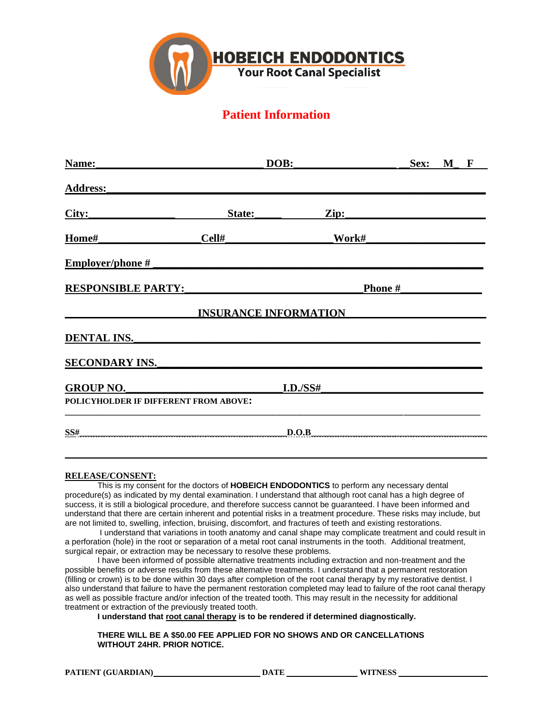

# **Patient Information**

| Name:                                 | DOB:                         |          | Sex:  | $M$ F |  |  |
|---------------------------------------|------------------------------|----------|-------|-------|--|--|
| <b>Address:</b>                       |                              |          |       |       |  |  |
| City:                                 | State:                       |          | Zip:  |       |  |  |
| Home#                                 | Cell#                        |          | Work# |       |  |  |
| <b>Employer/phone#</b>                |                              |          |       |       |  |  |
| <b>RESPONSIBLE PARTY:</b>             | Phone #                      |          |       |       |  |  |
|                                       | <b>INSURANCE INFORMATION</b> |          |       |       |  |  |
| <b>DENTAL INS.</b>                    |                              |          |       |       |  |  |
| <b>SECONDARY INS.</b>                 |                              |          |       |       |  |  |
| <b>GROUP NO.</b>                      |                              | I.D./SS# |       |       |  |  |
| POLICYHOLDER IF DIFFERENT FROM ABOVE: |                              |          |       |       |  |  |
| SS#                                   |                              | D.O.B    |       |       |  |  |
|                                       |                              |          |       |       |  |  |

# **RELEASE/CONSENT:**

This is my consent for the doctors of **HOBEICH ENDODONTICS** to perform any necessary dental procedure(s) as indicated by my dental examination. I understand that although root canal has a high degree of success, it is still a biological procedure, and therefore success cannot be guaranteed. I have been informed and understand that there are certain inherent and potential risks in a treatment procedure. These risks may include, but are not limited to, swelling, infection, bruising, discomfort, and fractures of teeth and existing restorations.

I understand that variations in tooth anatomy and canal shape may complicate treatment and could result in a perforation (hole) in the root or separation of a metal root canal instruments in the tooth. Additional treatment, surgical repair, or extraction may be necessary to resolve these problems.

I have been informed of possible alternative treatments including extraction and non-treatment and the possible benefits or adverse results from these alternative treatments. I understand that a permanent restoration (filling or crown) is to be done within 30 days after completion of the root canal therapy by my restorative dentist. I also understand that failure to have the permanent restoration completed may lead to failure of the root canal therapy as well as possible fracture and/or infection of the treated tooth. This may result in the necessity for additional treatment or extraction of the previously treated tooth.

**I understand that root canal therapy is to be rendered if determined diagnostically.**

**THERE WILL BE A \$50.00 FEE APPLIED FOR NO SHOWS AND OR CANCELLATIONS WITHOUT 24HR. PRIOR NOTICE.**

**PATIENT (GUARDIAN) DATE DATE WITNESS**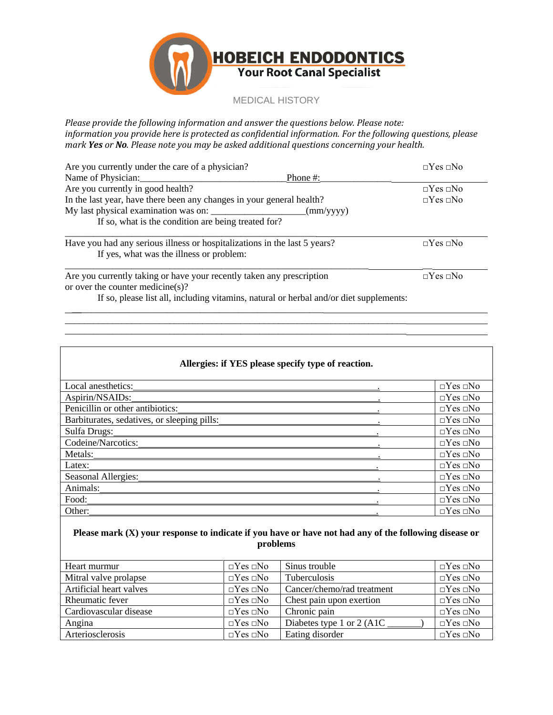

*Please provide the following information and answer the questions below. Please note: information you provide here is protected as confidential information. For the following questions, please mark Yes or No. Please note you may be asked additional questions concerning your health.*

| Are you currently under the care of a physician?                                                                      | $\Box$ Yes $\Box$ No |
|-----------------------------------------------------------------------------------------------------------------------|----------------------|
| Name of Physician:<br>Phone #:                                                                                        |                      |
| Are you currently in good health?                                                                                     | $\Box$ Yes $\Box$ No |
| In the last year, have there been any changes in your general health?                                                 | $\neg$ Yes $\neg$ No |
|                                                                                                                       |                      |
| If so, what is the condition are being treated for?                                                                   |                      |
| Have you had any serious illness or hospitalizations in the last 5 years?<br>If yes, what was the illness or problem: | $\neg$ Yes $\neg$ No |
| Are you currently taking or have your recently taken any prescription                                                 | $\neg Yes \sqcap No$ |

or over the counter medicine(s)?

If so, please list all, including vitamins, natural or herbal and/or diet supplements:

 $\overline{\phantom{a}}$  , and the contribution of the contribution of the contribution of the contribution of the contribution of the contribution of the contribution of the contribution of the contribution of the contribution of the  $\overline{\phantom{a}}$  , and the contribution of the contribution of the contribution of the contribution of the contribution of the contribution of the contribution of the contribution of the contribution of the contribution of the

\_\_\_\_\_\_\_\_\_\_\_\_\_\_\_\_\_\_\_\_\_\_\_\_\_\_\_\_\_\_\_\_\_\_\_\_\_\_\_\_\_\_\_\_\_\_\_\_\_\_\_\_\_

| Allergies: if YES please specify type of reaction. |  |                      |  |
|----------------------------------------------------|--|----------------------|--|
| Local anesthetics:                                 |  | $\Box$ Yes $\Box$ No |  |
| Aspirin/NSAIDs:                                    |  | $\Box$ Yes $\Box$ No |  |
| Penicillin or other antibiotics:                   |  | $\neg$ Yes $\neg$ No |  |
| Barbiturates, sedatives, or sleeping pills:        |  | $\Box$ Yes $\Box$ No |  |
| Sulfa Drugs:                                       |  | $\Box$ Yes $\Box$ No |  |
| Codeine/Narcotics:                                 |  | $\Box$ Yes $\Box$ No |  |
| Metals:                                            |  | $\Box$ Yes $\Box$ No |  |
| Latex:                                             |  | $\neg$ Yes $\neg$ No |  |
| Seasonal Allergies:                                |  | $\Box$ Yes $\Box$ No |  |
| Animals:                                           |  | $\Box$ Yes $\Box$ No |  |
| Food:                                              |  | $\Box$ Yes $\Box$ No |  |
| Other:                                             |  | $\Box$ Yes $\Box$ No |  |

# **Please mark (X) your response to indicate if you have or have not had any of the following disease or problems**

| Heart murmur            | $\Box$ Yes $\Box$ No | Sinus trouble              | $\Box$ Yes $\Box$ No |
|-------------------------|----------------------|----------------------------|----------------------|
| Mitral valve prolapse   | $\neg$ Yes $\neg$ No | <b>Tuberculosis</b>        | $\Box$ Yes $\Box$ No |
| Artificial heart valves | $\Box$ Yes $\Box$ No | Cancer/chemo/rad treatment | $\Box$ Yes $\Box$ No |
| Rheumatic fever         | $\Box$ Yes $\Box$ No | Chest pain upon exertion   | $\Box$ Yes $\Box$ No |
| Cardiovascular disease  | $\Box$ Yes $\Box$ No | Chronic pain               | $\Box$ Yes $\Box$ No |
| Angina                  | $\Box$ Yes $\Box$ No | Diabetes type 1 or 2 (A1C) | $\Box$ Yes $\Box$ No |
| Arteriosclerosis        | $\Box$ Yes $\Box$ No | Eating disorder            | $\Box$ Yes $\Box$ No |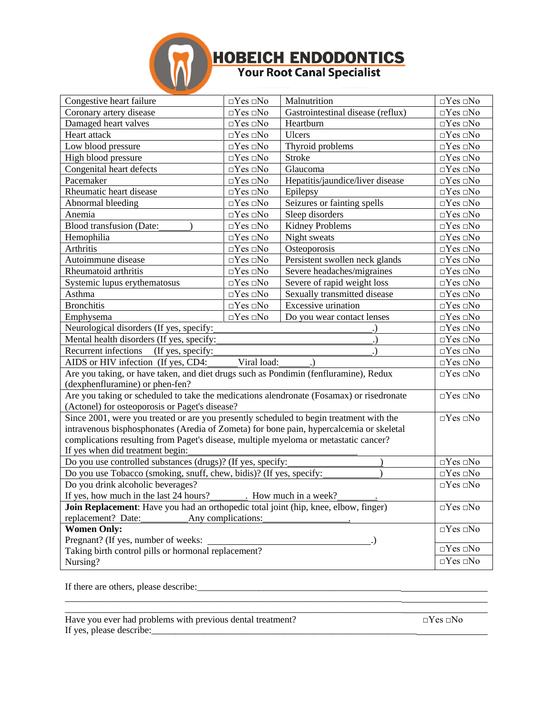

# **HOBEICH ENDODONTICS**<br>Your Root Canal Specialist

| Congestive heart failure                                                                 | $\Box Yes \Box No$                                      | Malnutrition                     | $\Box Yes \Box No$   |
|------------------------------------------------------------------------------------------|---------------------------------------------------------|----------------------------------|----------------------|
| Coronary artery disease                                                                  | $\Box Yes \Box No$<br>Gastrointestinal disease (reflux) |                                  | $\Box Yes \Box No$   |
| Damaged heart valves                                                                     | $\overline{\Box}$ Yes $\Box$ No                         | Heartburn                        | $\Box Yes \Box No$   |
| Heart attack                                                                             | $\Box Yes \Box No$                                      | <b>Ulcers</b>                    | $\Box Yes \Box No$   |
| Low blood pressure                                                                       | $\Box Yes \Box No$                                      | Thyroid problems                 | $\Box$ Yes $\Box$ No |
| High blood pressure                                                                      | $\Box Yes \Box No$                                      | <b>Stroke</b>                    | $\Box$ Yes $\Box$ No |
| Congenital heart defects                                                                 | $\Box Yes \Box No$                                      | Glaucoma                         | $\Box Yes \Box No$   |
| Pacemaker                                                                                | $\Box Yes \Box No$                                      | Hepatitis/jaundice/liver disease | $\Box Yes \Box No$   |
| Rheumatic heart disease                                                                  | $\Box Yes \Box No$                                      | Epilepsy                         | $\Box Yes \Box No$   |
| Abnormal bleeding                                                                        | $\Box Yes \Box No$                                      | Seizures or fainting spells      | $\Box Yes \Box No$   |
| Anemia                                                                                   | $\Box Yes \Box No$                                      | Sleep disorders                  | $\Box Yes \Box No$   |
| <b>Blood transfusion (Date:</b>                                                          | $\Box Yes \Box No$                                      | Kidney Problems                  | $\Box Yes \Box No$   |
| Hemophilia                                                                               | $\Box Yes \Box No$                                      | Night sweats                     | $\Box Yes \Box No$   |
| Arthritis                                                                                | $\Box Yes \Box No$                                      | Osteoporosis                     | $\Box Yes \Box No$   |
| Autoimmune disease                                                                       | $\Box Yes\ \Box No$                                     | Persistent swollen neck glands   | $\Box Yes \Box No$   |
| Rheumatoid arthritis                                                                     | $\Box Yes \Box No$                                      | Severe headaches/migraines       | $\Box Yes \Box No$   |
| Systemic lupus erythematosus                                                             | $\Box Yes \Box No$                                      | Severe of rapid weight loss      | $\Box Yes\ \Box No$  |
| Asthma                                                                                   | $\Box Yes\ \Box No$                                     | Sexually transmitted disease     | $\Box Yes \Box No$   |
| <b>Bronchitis</b>                                                                        | $\Box Yes \Box No$                                      | Excessive urination              | $\Box$ Yes $\Box$ No |
| Emphysema                                                                                | $\Box Yes \Box No$                                      | Do you wear contact lenses       | $\Box Yes \Box No$   |
| Neurological disorders (If yes, specify:                                                 |                                                         |                                  | $\Box Yes \Box No$   |
| Mental health disorders (If yes, specify:                                                |                                                         |                                  | $\Box Yes \Box No$   |
| Recurrent infections<br>(If yes, specify:                                                |                                                         |                                  | $\Box Yes \Box No$   |
| Viral load:<br>AIDS or HIV infection (If yes, CD4:                                       |                                                         |                                  | $\Box Yes \Box No$   |
| Are you taking, or have taken, and diet drugs such as Pondimin (fenfluramine), Redux     |                                                         |                                  | $\Box$ Yes $\Box$ No |
| (dexphenfluramine) or phen-fen?                                                          |                                                         |                                  |                      |
| Are you taking or scheduled to take the medications alendronate (Fosamax) or risedronate |                                                         |                                  | $\Box Yes \Box No$   |
| (Actonel) for osteoporosis or Paget's disease?                                           |                                                         |                                  |                      |
| Since 2001, were you treated or are you presently scheduled to begin treatment with the  |                                                         |                                  | $\Box$ Yes $\Box$ No |
| intravenous bisphosphonates (Aredia of Zometa) for bone pain, hypercalcemia or skeletal  |                                                         |                                  |                      |
| complications resulting from Paget's disease, multiple myeloma or metastatic cancer?     |                                                         |                                  |                      |
| If yes when did treatment begin:                                                         |                                                         |                                  |                      |
| Do you use controlled substances (drugs)? (If yes, specify:                              |                                                         |                                  | $\Box Yes \Box No$   |
| Do you use Tobacco (smoking, snuff, chew, bidis)? (If yes, specify:                      |                                                         |                                  | $\Box Yes \Box No$   |
| Do you drink alcoholic beverages?                                                        |                                                         |                                  | $\Box$ Yes $\Box$ No |
| If yes, how much in the last 24 hours?<br>. How much in a week?                          |                                                         |                                  |                      |
| Join Replacement: Have you had an orthopedic total joint (hip, knee, elbow, finger)      |                                                         |                                  | $\Box Yes\ \Box No$  |
| replacement? Date:<br>Any complications:                                                 |                                                         |                                  |                      |
| <b>Women Only:</b>                                                                       |                                                         |                                  | $\Box Yes \Box No$   |
| Pregnant? (If yes, number of weeks:                                                      |                                                         |                                  |                      |
| Taking birth control pills or hormonal replacement?                                      |                                                         |                                  | $\Box Yes \Box No$   |
| Nursing?                                                                                 |                                                         |                                  | $\Box Yes\ \Box No$  |

If there are others, please describe:\_\_\_\_\_\_\_\_\_\_\_\_\_\_\_\_\_\_\_\_\_\_\_\_\_\_\_\_\_\_\_\_\_\_\_\_\_\_\_\_\_\_\_

Have you ever had problems with previous dental treatment?  $\square$   $\square$   $\square$   $\square$   $\square$   $\square$   $\square$ If yes, please describe: $\frac{1}{2}$ 

\_\_\_\_\_\_\_\_\_\_\_\_\_\_\_\_\_\_\_\_\_\_\_\_\_\_\_\_\_\_\_\_\_\_\_\_\_\_\_\_\_\_\_\_\_\_\_\_\_\_\_\_\_\_\_\_\_\_\_\_\_\_\_\_\_\_\_\_\_\_\_ \_\_\_\_\_\_\_\_\_\_\_\_\_\_\_\_\_\_\_\_\_\_\_\_\_\_\_\_\_\_\_\_\_\_\_\_\_\_\_\_\_\_\_\_\_\_\_\_\_\_\_\_\_\_\_\_\_\_\_\_\_\_\_\_\_\_\_\_\_\_\_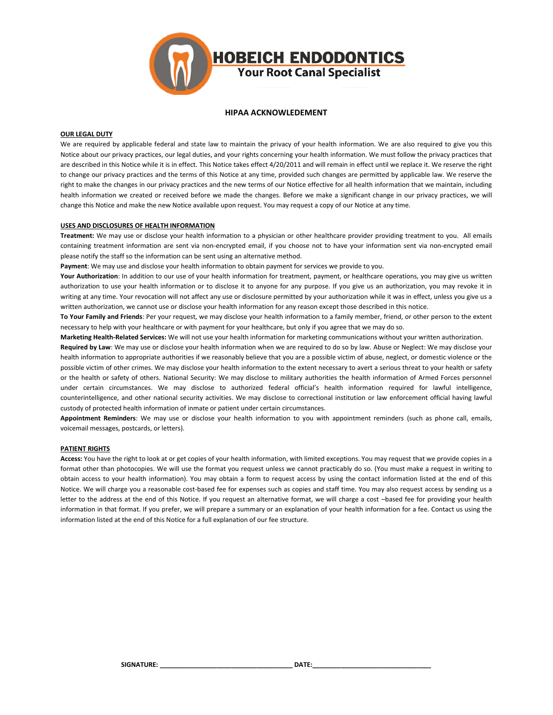

### **HIPAA ACKNOWLEDEMENT**

#### **OUR LEGAL DUTY**

We are required by applicable federal and state law to maintain the privacy of your health information. We are also required to give you this Notice about our privacy practices, our legal duties, and your rights concerning your health information. We must follow the privacy practices that are described in this Notice while it is in effect. This Notice takes effect 4/20/2011 and will remain in effect until we replace it. We reserve the right to change our privacy practices and the terms of this Notice at any time, provided such changes are permitted by applicable law. We reserve the right to make the changes in our privacy practices and the new terms of our Notice effective for all health information that we maintain, including health information we created or received before we made the changes. Before we make a significant change in our privacy practices, we will change this Notice and make the new Notice available upon request. You may request a copy of our Notice at any time.

#### **USES AND DISCLOSURES OF HEALTH INFORMATION**

**Treatment:** We may use or disclose your health information to a physician or other healthcare provider providing treatment to you. All emails containing treatment information are sent via non-encrypted email, if you choose not to have your information sent via non-encrypted email please notify the staff so the information can be sent using an alternative method.

**Payment**: We may use and disclose your health information to obtain payment for services we provide to you.

**Your Authorization**: In addition to our use of your health information for treatment, payment, or healthcare operations, you may give us written authorization to use your health information or to disclose it to anyone for any purpose. If you give us an authorization, you may revoke it in writing at any time. Your revocation will not affect any use or disclosure permitted by your authorization while it was in effect, unless you give us a written authorization, we cannot use or disclose your health information for any reason except those described in this notice.

**To Your Family and Friends**: Per your request, we may disclose your health information to a family member, friend, or other person to the extent necessary to help with your healthcare or with payment for your healthcare, but only if you agree that we may do so.

**Marketing Health-Related Services:** We will not use your health information for marketing communications without your written authorization.

**Required by Law**: We may use or disclose your health information when we are required to do so by law. Abuse or Neglect: We may disclose your health information to appropriate authorities if we reasonably believe that you are a possible victim of abuse, neglect, or domestic violence or the possible victim of other crimes. We may disclose your health information to the extent necessary to avert a serious threat to your health or safety or the health or safety of others. National Security: We may disclose to military authorities the health information of Armed Forces personnel under certain circumstances. We may disclose to authorized federal official's health information required for lawful intelligence, counterintelligence, and other national security activities. We may disclose to correctional institution or law enforcement official having lawful custody of protected health information of inmate or patient under certain circumstances.

**Appointment Reminders**: We may use or disclose your health information to you with appointment reminders (such as phone call, emails, voicemail messages, postcards, or letters).

### **PATIENT RIGHTS**

**Access:** You have the right to look at or get copies of your health information, with limited exceptions. You may request that we provide copies in a format other than photocopies. We will use the format you request unless we cannot practicably do so. (You must make a request in writing to obtain access to your health information). You may obtain a form to request access by using the contact information listed at the end of this Notice. We will charge you a reasonable cost-based fee for expenses such as copies and staff time. You may also request access by sending us a letter to the address at the end of this Notice. If you request an alternative format, we will charge a cost –based fee for providing your health information in that format. If you prefer, we will prepare a summary or an explanation of your health information for a fee. Contact us using the information listed at the end of this Notice for a full explanation of our fee structure.